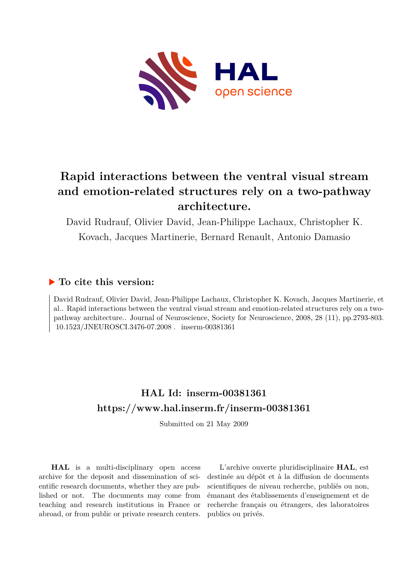

## **Rapid interactions between the ventral visual stream and emotion-related structures rely on a two-pathway architecture.**

David Rudrauf, Olivier David, Jean-Philippe Lachaux, Christopher K. Kovach, Jacques Martinerie, Bernard Renault, Antonio Damasio

### **To cite this version:**

David Rudrauf, Olivier David, Jean-Philippe Lachaux, Christopher K. Kovach, Jacques Martinerie, et al.. Rapid interactions between the ventral visual stream and emotion-related structures rely on a twopathway architecture.. Journal of Neuroscience, Society for Neuroscience, 2008, 28 (11), pp.2793-803. 10.1523/JNEUROSCI.3476-07.2008. inserm-00381361

## **HAL Id: inserm-00381361 <https://www.hal.inserm.fr/inserm-00381361>**

Submitted on 21 May 2009

**HAL** is a multi-disciplinary open access archive for the deposit and dissemination of scientific research documents, whether they are published or not. The documents may come from teaching and research institutions in France or abroad, or from public or private research centers.

L'archive ouverte pluridisciplinaire **HAL**, est destinée au dépôt et à la diffusion de documents scientifiques de niveau recherche, publiés ou non, émanant des établissements d'enseignement et de recherche français ou étrangers, des laboratoires publics ou privés.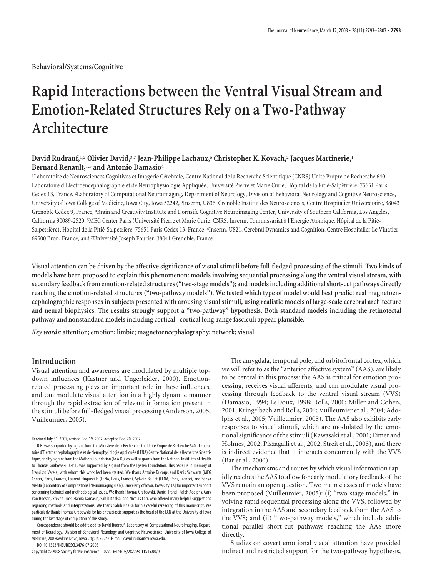**Behavioral/Systems/Cognitive**

# **Rapid Interactions between the Ventral Visual Stream and Emotion-Related Structures Rely on a Two-Pathway Architecture**

#### **David Rudrauf,**1,2 **Olivier David,**3,7 **Jean-Philippe Lachaux,**<sup>6</sup> **Christopher K. Kovach,**<sup>2</sup> **Jacques Martinerie,**<sup>1</sup> **Bernard Renault,**1,5 **and Antonio Damasio**<sup>4</sup>

<sup>1</sup>Laboratoire de Neurosciences Cognitives et Imagerie Cérébrale, Centre National de la Recherche Scientifique (CNRS) Unité Propre de Recherche 640 – Laboratoire d'Electroencephalographie et de Neurophysiologie Appliquée, Université Pierre et Marie Curie, Hôpital de la Pitié-Salpêtrière, 75651 Paris Cedex 13, France, <sup>2</sup> Laboratory of Computational Neuroimaging, Department of Neurology, Division of Behavioral Neurology and Cognitive Neuroscience, University of Iowa College of Medicine, Iowa City, Iowa 52242, <sup>3</sup> Inserm, U836, Grenoble Institut des Neurosciences, Centre Hospitalier Universitaire, 38043 Grenoble Cedex 9, France, <sup>4</sup> Brain and Creativity Institute and Dornsife Cognitive Neuroimaging Center, University of Southern California, Los Angeles, California 90089-2520, <sup>5</sup>MEG Center Paris (Université Pierre et Marie Curie, CNRS, Inserm, Commissariat à l'Energie Atomique, Hôpital de la Pitié-Salpêtrière), Hôpital de la Pitié-Salpêtrière, 75651 Paris Cedex 13, France, <sup>6</sup>Inserm, U821, Cerebral Dynamics and Cognition, Centre Hospitalier Le Vinatier, 69500 Bron, France, and 7Université Joseph Fourier, 38041 Grenoble, France

**Visual attention can be driven by the affective significance of visual stimuli before full-fledged processing of the stimuli. Two kinds of models have been proposed to explain this phenomenon: models involving sequential processing along the ventral visual stream, with secondaryfeedbackfrom emotion-related structures ("two-stage models"); and models including additional short-cut pathways directly reaching the emotion-related structures ("two-pathway models"). We tested which type of model would best predict real magnetoencephalographic responses in subjects presented with arousing visual stimuli, using realistic models of large-scale cerebral architecture and neural biophysics. The results strongly support a "two-pathway" hypothesis. Both standard models including the retinotectal pathway and nonstandard models including cortical– cortical long-range fasciculi appear plausible.**

*Key words:* **attention; emotion; limbic; magnetoencephalography; network; visual**

#### **Introduction**

Visual attention and awareness are modulated by multiple topdown influences (Kastner and Ungerleider, 2000). Emotionrelated processing plays an important role in these influences, and can modulate visual attention in a highly dynamic manner through the rapid extraction of relevant information present in the stimuli before full-fledged visual processing (Anderson, 2005; Vuilleumier, 2005).

D.R. was supported by a grant from the Ministère de la Recherche, the Unité Propre de Recherche 640 –Laboratoire d'Electroencephalographie et de Neurophysiologie Appliquée (LENA) Centre National de la Recherche Scientifique, and by a grant from the Mathers Foundation (to A.D.), as well as grants from the National Institutes of Health to Thomas Grabowski. J.-P.L. was supported by a grant from the Fyssen Foundation. This paper is in memory of Francisco Varela, with whom this work had been started. We thank Antoine Ducorps and Denis Schwartz (MEG Center, Paris, France), Laurent Hugueville (LENA, Paris, France), Sylvain Baillet (LENA, Paris, France), and Sonya Mehta [Laboratory of Computational Neuroimaging (LCN), University of Iowa, Iowa City, IA] for important support concerning technical and methodological issues. We thank Thomas Grabowski, Daniel Tranel, Ralph Adolphs, Gary Van Hoesen, Steven Luck, Hanna Damasio, Sahib Khalsa, and Nicolas Lori, who offered many helpful suggestions regarding methods and interpretations. We thank Sahib Khalsa for his careful rereading of this manuscript. We particularly thank Thomas Grabowski for his enthusiastic support as the head of the LCN at the University of Iowa during the last stage of completion of this study.

Correspondence should be addressed to David Rudrauf, Laboratory of Computational Neuroimaging, Department of Neurology, Division of Behavioral Neurology and Cognitive Neuroscience, University of Iowa College of Medicine, 200 Hawkins Drive, Iowa City, IA 52242. E-mail: david-rudrauf@uiowa.edu.

DOI:10.1523/JNEUROSCI.3476-07.2008

Copyright © 2008 Society for Neuroscience 0270-6474/08/282793-11\$15.00/0

The amygdala, temporal pole, and orbitofrontal cortex, which we will refer to as the "anterior affective system" (AAS), are likely to be central in this process: the AAS is critical for emotion processing, receives visual afferents, and can modulate visual processing through feedback to the ventral visual stream (VVS) (Damasio, 1994; LeDoux, 1998; Rolls, 2000; Miller and Cohen, 2001; Kringelbach and Rolls, 2004; Vuilleumier et al., 2004; Adolphs et al., 2005; Vuilleumier, 2005). The AAS also exhibits early responses to visual stimuli, which are modulated by the emotional significance of the stimuli (Kawasaki et al., 2001; Eimer and Holmes, 2002; Pizzagalli et al., 2002; Streit et al., 2003), and there is indirect evidence that it interacts concurrently with the VVS (Bar et al., 2006).

The mechanisms and routes by which visual information rapidly reaches the AAS to allow for early modulatory feedback of the VVS remain an open question. Two main classes of models have been proposed (Vuilleumier, 2005): (i) "two-stage models," involving rapid sequential processing along the VVS, followed by integration in the AAS and secondary feedback from the AAS to the VVS; and (ii) "two-pathway models," which include additional parallel short-cut pathways reaching the AAS more directly.

Studies on covert emotional visual attention have provided indirect and restricted support for the two-pathway hypothesis,

Received July 31, 2007; revised Dec. 19, 2007; accepted Dec. 20, 2007.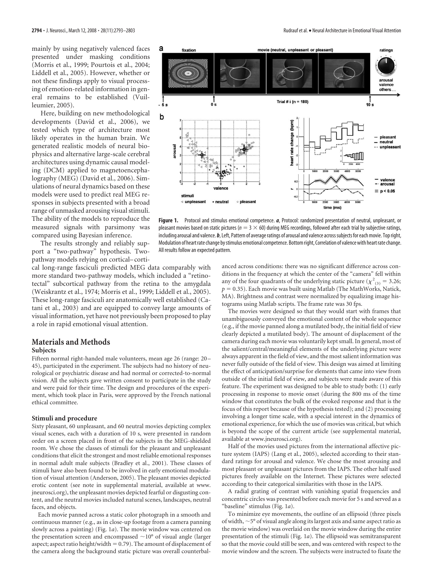mainly by using negatively valenced faces presented under masking conditions (Morris et al., 1999; Pourtois et al., 2004; Liddell et al., 2005). However, whether or not these findings apply to visual processing of emotion-related information in general remains to be established (Vuilleumier, 2005).

Here, building on new methodological developments (David et al., 2006), we tested which type of architecture most likely operates in the human brain. We generated realistic models of neural biophysics and alternative large-scale cerebral architectures using dynamic causal modeling (DCM) applied to magnetoencephalography (MEG) (David et al., 2006). Simulations of neural dynamics based on these models were used to predict real MEG responses in subjects presented with a broad range of unmasked arousing visual stimuli. The ability of the models to reproduce the measured signals with parsimony was compared using Bayesian inference.

The results strongly and reliably support a "two-pathway" hypothesis. Twopathway models relying on cortical– corti-

cal long-range fasciculi predicted MEG data comparably with more standard two-pathway models, which included a "retinotectal" subcortical pathway from the retina to the amygdala (Weiskrantz et al., 1974; Morris et al., 1999; Liddell et al., 2005). These long-range fasciculi are anatomically well established (Catani et al., 2003) and are equipped to convey large amounts of visual information, yet have not previously been proposed to play a role in rapid emotional visual attention.

All results follow an expected pattern.

#### **Materials and Methods Subjects**

Fifteen normal right-handed male volunteers, mean age 26 (range: 20 – 45), participated in the experiment. The subjects had no history of neurological or psychiatric disease and had normal or corrected-to-normal vision. All the subjects gave written consent to participate in the study and were paid for their time. The design and procedures of the experiment, which took place in Paris, were approved by the French national ethical committee.

#### **Stimuli and procedure**

Sixty pleasant, 60 unpleasant, and 60 neutral movies depicting complex visual scenes, each with a duration of 10 s, were presented in random order on a screen placed in front of the subjects in the MEG-shielded room. We chose the classes of stimuli for the pleasant and unpleasant conditions that elicit the strongest and most reliable emotional responses in normal adult male subjects (Bradley et al., 2001). These classes of stimuli have also been found to be involved in early emotional modulation of visual attention (Anderson, 2005). The pleasant movies depicted erotic content (see note in supplemental material, available at www. jneurosci.org), the unpleasant movies depicted fearful or disgusting content, and the neutral movies included natural scenes, landscapes, neutral faces, and objects.

Each movie panned across a static color photograph in a smooth and continuous manner (e.g., as in close-up footage from a camera panning slowly across a painting) (Fig. 1*a*). The movie window was centered on the presentation screen and encompassed  $\sim$ 10° of visual angle (larger aspect; aspect ratio height/width  $= 0.79$ ). The amount of displacement of the camera along the background static picture was overall counterbalanced across conditions: there was no significant difference across conditions in the frequency at which the center of the "camera" fell within any of the four quadrants of the underlying static picture ( $\chi^2_{(3)} = 3.26$ ;  $p = 0.35$ ). Each movie was built using Matlab (The MathWorks, Natick, MA). Brightness and contrast were normalized by equalizing image histograms using Matlab scripts. The frame rate was 30 fps.

The movies were designed so that they would start with frames that unambiguously conveyed the emotional content of the whole sequence (e.g., if the movie panned along a mutilated body, the initial field of view clearly depicted a mutilated body). The amount of displacement of the camera during each movie was voluntarily kept small. In general, most of the salient/central/meaningful elements of the underlying picture were always apparent in the field of view, and the most salient information was never fully outside of the field of view. This design was aimed at limiting the effect of anticipation/surprise for elements that came into view from outside of the initial field of view, and subjects were made aware of this feature. The experiment was designed to be able to study both: (1) early processing in response to movie onset (during the 800 ms of the time window that constitutes the bulk of the evoked response and that is the focus of this report because of the hypothesis tested); and (2) processing involving a longer time scale, with a special interest in the dynamics of emotional experience, for which the use of movies was critical, but which is beyond the scope of the current article (see supplemental material, available at www.jneurosci.org).

Half of the movies used pictures from the international affective picture system (IAPS) (Lang et al., 2005), selected according to their standard ratings for arousal and valence. We chose the most arousing and most pleasant or unpleasant pictures from the IAPS. The other half used pictures freely available on the Internet. These pictures were selected according to their categorical similarities with those in the IAPS.

A radial grating of contrast with vanishing spatial frequencies and concentric circles was presented before each movie for 5 s and served as a "baseline" stimulus (Fig. 1*a*).

To minimize eye movements, the outline of an ellipsoid (three pixels of width,  $\sim$  5° of visual angle along its largest axis and same aspect ratio as the movie window) was overlaid on the movie window during the entire presentation of the stimuli (Fig. 1*a*). The ellipsoid was semitransparent so that the movie could still be seen, and was centered with respect to the movie window and the screen. The subjects were instructed to fixate the



**Figure 1.** Protocol and stimulus emotional competence. *a*, Protocol: randomized presentation of neutral, unpleasant, or pleasant movies based on static pictures ( $n=3\times 60$ ) during MEG recordings, followed after each trial by subjective ratings, including arousal and valence. *b*, Left, Pattern of average ratings of arousal and valence acrosssubjects for each movie. Top right, Modulation of heartrate change bystimulus emotional competence. Bottomright, Correlation of valence with heartrate change.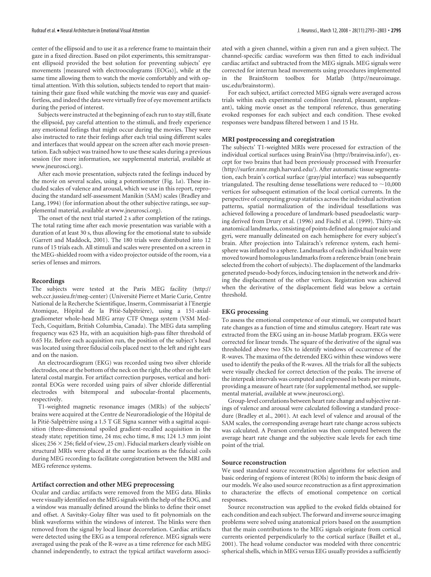center of the ellipsoid and to use it as a reference frame to maintain their gaze in a fixed direction. Based on pilot experiments, this semitransparent ellipsoid provided the best solution for preventing subjects' eye movements [measured with electrooculograms (EOGs)], while at the same time allowing them to watch the movie comfortably and with optimal attention. With this solution, subjects tended to report that maintaining their gaze fixed while watching the movie was easy and quasieffortless, and indeed the data were virtually free of eye movement artifacts during the period of interest.

Subjects were instructed at the beginning of each run to stay still, fixate the ellipsoid, pay careful attention to the stimuli, and freely experience any emotional feelings that might occur during the movies. They were also instructed to rate their feelings after each trial using different scales and interfaces that would appear on the screen after each movie presentation. Each subject was trained how to use these scales during a previous session (for more information, see supplemental material, available at www.jneurosci.org).

After each movie presentation, subjects rated the feelings induced by the movie on several scales, using a potentiometer (Fig. 1*a*). These included scales of valence and arousal, which we use in this report, reproducing the standard self-assessment Manikin (SAM) scales (Bradley and Lang, 1994) (for information about the other subjective ratings, see supplemental material, available at www.jneurosci.org).

The onset of the next trial started 2 s after completion of the ratings. The total rating time after each movie presentation was variable with a duration of at least 30 s, thus allowing for the emotional state to subside (Garrett and Maddock, 2001). The 180 trials were distributed into 12 runs of 15 trials each. All stimuli and scales were presented on a screen in the MEG-shielded room with a video projector outside of the room, via a series of lenses and mirrors.

#### **Recordings**

The subjects were tested at the Paris MEG facility (http:// web.ccr.jussieu.fr/meg-center) (Université Pierre et Marie Curie, Centre National de la Recherche Scientifique, Inserm, Commissariat a` l'Energie Atomique, Hôpital de la Pitié-Salpêtrière), using a 151-axialgradiometer whole-head MEG array CTF Omega system (VSM Med-Tech, Coquitlam, British Columbia, Canada). The MEG data sampling frequency was 625 Hz, with an acquisition high-pass filter threshold of 0.65 Hz. Before each acquisition run, the position of the subject's head was located using three fiducial coils placed next to the left and right ears and on the nasion.

An electrocardiogram (EKG) was recorded using two silver chloride electrodes, one at the bottom of the neck on the right, the other on the left lateral costal margin. For artifact correction purposes, vertical and horizontal EOGs were recorded using pairs of silver chloride differential electrodes with bitemporal and subocular-frontal placements, respectively.

T1-weighted magnetic resonance images (MRIs) of the subjects' brains were acquired at the Centre de Neuroradiologie of the Hôpital de la Pitié-Salpêtrière using a 1.5 T GE Signa scanner with a sagittal acquisition (three-dimensional spoiled gradient-recalled acquisition in the steady state; repetition time, 24 ms; echo time, 8 ms; 124 1.3 mm joint slices;  $256 \times 256$ ; field of view,  $25$  cm). Fiducial markers clearly visible on structural MRIs were placed at the same locations as the fiducial coils during MEG recording to facilitate coregistration between the MRI and MEG reference systems.

#### **Artifact correction and other MEG preprocessing**

Ocular and cardiac artifacts were removed from the MEG data. Blinks were visually identified on the MEG signals with the help of the EOG, and a window was manually defined around the blinks to define their onset and offset. A Savitsky-Golay filter was used to fit polynomials on the blink waveforms within the windows of interest. The blinks were then removed from the signal by local linear decorrelation. Cardiac artifacts were detected using the EKG as a temporal reference. MEG signals were averaged using the peak of the R-wave as a time reference for each MEG channel independently, to extract the typical artifact waveform associated with a given channel, within a given run and a given subject. The channel-specific cardiac waveform was then fitted to each individual cardiac artifact and subtracted from the MEG signals. MEG signals were corrected for interrun head movements using procedures implemented in the BrainStorm toolbox for Matlab (http://neuroimage. usc.edu/brainstorm).

For each subject, artifact corrected MEG signals were averaged across trials within each experimental condition (neutral, pleasant, unpleasant), taking movie onset as the temporal reference, thus generating evoked responses for each subject and each condition. These evoked responses were bandpass filtered between 1 and 15 Hz.

#### **MRI postprocessing and coregistration**

The subjects' T1-weighted MRIs were processed for extraction of the individual cortical surfaces using BrainVisa (http://brainvisa.info/), except for two brains that had been previously processed with Freesurfer (http://surfer.nmr.mgh.harvard.edu/). After automatic tissue segmentation, each brain's cortical surface (gray/pial interface) was subsequently triangulated. The resulting dense tessellations were reduced to  $\sim$  10,000 vertices for subsequent estimation of the local cortical currents. In the perspective of computing group statistics across the individual activation patterns, spatial normalization of the individual tessellations was achieved following a procedure of landmark-based pseudoelastic warping derived from Drury et al. (1996) and Fischl et al. (1999). Thirty-six anatomical landmarks, consisting of points defined along major sulci and gyri, were manually delineated on each hemisphere for every subject's brain. After projection into Talairach's reference system, each hemisphere was inflated to a sphere. Landmarks of each individual brain were moved toward homologous landmarks from a reference brain (one brain selected from the cohort of subjects). The displacement of the landmarks generated pseudo-body forces, inducing tension in the network and driving the displacement of the other vertices. Registration was achieved when the derivative of the displacement field was below a certain threshold.

#### **EKG processing**

To assess the emotional competence of our stimuli, we computed heart rate changes as a function of time and stimulus category. Heart rate was extracted from the EKG using an in-house Matlab program. EKGs were corrected for linear trends. The square of the derivative of the signal was thresholded above two SDs to identify windows of occurrence of the R-waves. The maxima of the detrended EKG within these windows were used to identify the peaks of the R-waves. All the trials for all the subjects were visually checked for correct detection of the peaks. The inverse of the interpeak intervals was computed and expressed in beats per minute, providing a measure of heart rate (for supplemental method, see supplemental material, available at www.jneurosci.org).

Group-level correlations between heart rate change and subjective ratings of valence and arousal were calculated following a standard procedure (Bradley et al., 2001). At each level of valence and arousal of the SAM scales, the corresponding average heart rate change across subjects was calculated. A Pearson correlation was then computed between the average heart rate change and the subjective scale levels for each time point of the trial.

#### **Source reconstruction**

We used standard source reconstruction algorithms for selection and basic ordering of regions of interest (ROIs) to inform the basic design of our models. We also used source reconstruction as a first approximation to characterize the effects of emotional competence on cortical responses.

Source reconstruction was applied to the evoked fields obtained for each condition and each subject. The forward and inverse source imaging problems were solved using anatomical priors based on the assumption that the main contributions to the MEG signals originate from cortical currents oriented perpendicularly to the cortical surface (Baillet et al., 2001). The head volume conductor was modeled with three concentric spherical shells, which in MEG versus EEG usually provides a sufficiently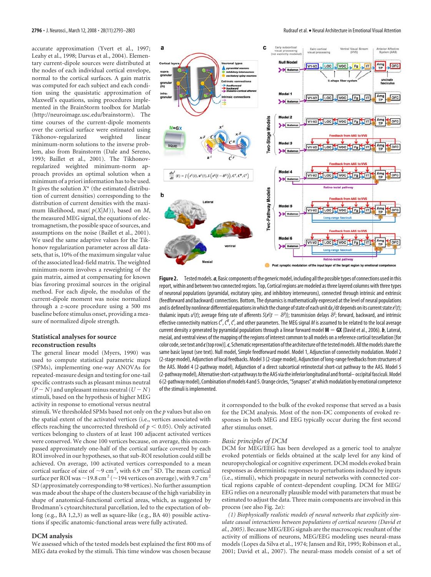accurate approximation (Yvert et al., 1997; Leahy et al., 1998; Darvas et al., 2004). Elementary current-dipole sources were distributed at the nodes of each individual cortical envelope, normal to the cortical surfaces. A gain matrix was computed for each subject and each condition using the quasistatic approximation of Maxwell's equations, using procedures implemented in the BrainStorm toolbox for Matlab (http://neuroimage.usc.edu/brainstorm). The time courses of the current-dipole moments over the cortical surface were estimated using<br>Tikhonov-regularized weighted linear Tikhonov-regularized minimum-norm solutions to the inverse problem, also from Brainstorm (Dale and Sereno, 1993; Baillet et al., 2001). The Tikhonovregularized weighted minimum-norm approach provides an optimal solution when a minimum of a priori information has to be used. It gives the solution  $X^*$  (the estimated distribution of current densities) corresponding to the distribution of current densities with the maximum likelihood, max( *p*(*XM*)), based on *M*, the measured MEG signal, the equations of electromagnetism, the possible space of sources, and assumptions on the noise (Baillet et al., 2001). We used the same adaptive values for the Tikhonov regularization parameter across all datasets, that is, 10% of the maximum singular value of the associated lead-field matrix. The weighted minimum-norm involves a reweighting of the gain matrix, aimed at compensating for known bias favoring proximal sources in the original method. For each dipole, the modulus of the current-dipole moment was noise normalized through a *z*-score procedure using a 500 ms baseline before stimulus onset, providing a measure of normalized dipole strength.

#### **Statistical analyses for source reconstruction results**

The general linear model (Myers, 1990) was used to compute statistical parametric maps (SPMs), implementing one-way ANOVAs for repeated-measure design and testing for one-tail specific contrasts such as pleasant minus neutral  $(P - N)$  and unpleasant minus neutral  $(U - N)$ stimuli, based on the hypothesis of higher MEG activity in response to emotional versus neutral

stimuli. We thresholded SPMs based not only on the *p* values but also on the spatial extent of the activated vertices (i.e., vertices associated with effects reaching the uncorrected threshold of  $p < 0.05$ ). Only activated vertices belonging to clusters of at least 100 adjacent activated vertices were conserved. We chose 100 vertices because, on average, this encompassed approximately one-half of the cortical surface covered by each ROI involved in our hypotheses, so that sub-ROI resolution could still be achieved. On average, 100 activated vertices corresponded to a mean cortical surface of size of  $\sim$ 9 cm<sup>2</sup>, with 6.9 cm<sup>2</sup> SD. The mean cortical surface per ROI was  $\sim$  19.8 cm<sup>2</sup> ( $\sim$  194 vertices on average), with 9.7 cm<sup>2</sup> SD (approximately corresponding to 98 vertices). No further assumption was made about the shape of the clusters because of the high variability in shape of anatomical-functional cortical areas, which, as suggested by Brodmann's cytoarchitectural parcellation, led to the expectation of oblong (e.g., BA 1,2,3) as well as square-like (e.g., BA 40) possible activations if specific anatomic-functional areas were fully activated.

#### **DCM analysis**

We assessed which of the tested models best explained the first 800 ms of MEG data evoked by the stimuli. This time window was chosen because



Figure 2. Tested models. *a*, Basic components of the generic model, including all the possible types of connections used in this report, within and between two connected regions. Top, Cortical regions are modeled as three layered columns with three types of neuronal populations (pyramidal, excitatory spiny, and inhibitory interneurons), connected through intrinsic and extrinsic (feedforward and backward) connections. Bottom, The dynamics is mathematically expressed at the level of neural populations and is defined by nonlinear differential equations inwhichthe change ofstate of each unit d*xi* /d*t*depends on its currentstate*x* (*t*); *i* thalamic inputs  $u'(t)$ ; average firing rate of afferents S(x<sup>i</sup>(t  $\delta^{ij}$ ); transmission delays  $\delta^{ij}$ ; forward, backward, and intrinsic *i j* effective connectivity matrices *C<sup>F</sup> , C<sup>B</sup> , C<sup>I</sup> , and other parameters. The MEG signal <i>M* is assumed to be related to the local average *I* current density*x*generated by pyramidal populations through a linear forward model **M** - **GX** (David et al., 2006). *b*, Lateral, mesial, and ventral views of the mapping of the regions of interest common to all models on a reference cortical tessellation [for color code,seetext and*c*(toprow)].*c*, Schematicrepresentation ofthe architecture ofthetestedmodels. Allthemodelssharethe same basic layout (see text). Null model, Simple feedforward model. Model 1, Adjunction of connectivity modulation. Model 2 (2-stage model), Adjunction of local feedbacks. Model 3 (2-stage model), Adjunction of long-range feedbacks fromstructures of the AAS. Model 4 (2-pathway model), Adjunction of a direct subcortical retinotectal short-cut pathway to the AAS. Model 5 (2-pathwaymodel), Alternativeshort-cut pathwaystothe AAS viathe inferior longitudinal andfrontal– occipitalfasciculi.Model 6(2-pathwaymodel), Combination ofmodels 4 and 5. Orange circles, "Synapses" atwhichmodulation by emotional competence of the stimuli is implemented.

it corresponded to the bulk of the evoked response that served as a basis for the DCM analysis. Most of the non-DC components of evoked responses in both MEG and EEG typically occur during the first second after stimulus onset.

#### *Basic principles of DCM*

DCM for MEG/EEG has been developed as a generic tool to analyze evoked potentials or fields obtained at the scalp level for any kind of neuropsychological or cognitive experiment. DCM models evoked brain responses as deterministic responses to perturbations induced by inputs (i.e., stimuli), which propagate in neural networks with connected cortical regions capable of context-dependent coupling. DCM for MEG/ EEG relies on a neuronally plausible model with parameters that must be estimated to adjust the data. Three main components are involved in this process (see also Fig. 2*a*):

*(1) Biophysically realistic models of neural networks that explicitly simulate causal interactions between populations of cortical neurons (David et al., 2005)*. Because MEG/EEG signals are the macroscopic resultant of the activity of millions of neurons, MEG/EEG modeling uses neural-mass models (Lopes da Silva et al., 1974; Jansen and Rit, 1995; Robinson et al., 2001; David et al., 2007). The neural-mass models consist of a set of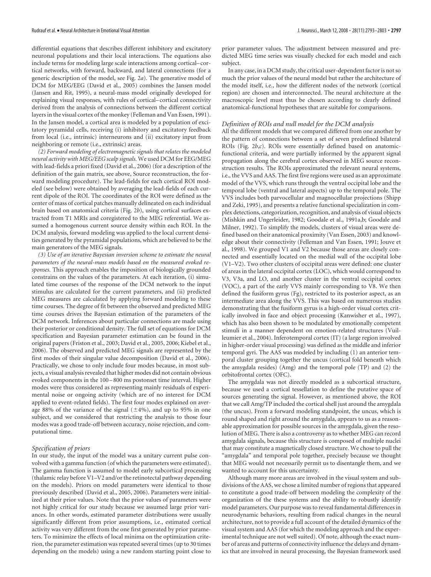differential equations that describes different inhibitory and excitatory neuronal populations and their local interactions. The equations also include terms for modeling large scale interactions among cortical– cortical networks, with forward, backward, and lateral connections (for a generic description of the model, see Fig. 2*a*). The generative model of DCM for MEG/EEG (David et al., 2005) combines the Jansen model (Jansen and Rit, 1995), a neural-mass model originally developed for explaining visual responses, with rules of cortical– cortical connectivity derived from the analysis of connections between the different cortical layers in the visual cortex of the monkey (Felleman and Van Essen, 1991). In the Jansen model, a cortical area is modeled by a population of excitatory pyramidal cells, receiving (i) inhibitory and excitatory feedback from local (i.e., intrinsic) interneurons and (ii) excitatory input from neighboring or remote (i.e., extrinsic) areas.

*(2) Forward modeling of electromagnetic signals that relates the modeled neural activity with MEG/EEG scalp signals.* We used DCM for EEG/MEG with lead-fields a priori fixed (David et al., 2006) (for a description of the definition of the gain matrix, see above, Source reconstruction, the forward modeling procedure). The lead-fields for each cortical ROI modeled (see below) were obtained by averaging the lead-fields of each current dipole of the ROI. The coordinates of the ROI were defined as the center of mass of cortical patches manually delineated on each individual brain based on anatomical criteria (Fig. 2*b*), using cortical surfaces extracted from T1 MRIs and coregistered to the MEG referential. We assumed a homogenous current source density within each ROI. In the DCM analysis, forward modeling was applied to the local current densities generated by the pyramidal populations, which are believed to be the main generators of the MEG signals.

*(3) Use of an iterative Bayesian inversion scheme to estimate the neural parameters of the neural-mass models based on the measured evoked responses.* This approach enables the imposition of biologically grounded constrains on the values of the parameters. At each iteration, (i) simulated time courses of the response of the DCM network to the input stimulus are calculated for the current parameters, and (ii) predicted MEG measures are calculated by applying forward modeling to these time courses. The degree of fit between the observed and predicted MEG time courses drives the Bayesian estimation of the parameters of the DCM network. Inferences about particular connections are made using their posterior or conditional density. The full set of equations for DCM specification and Bayesian parameter estimation can be found in the original papers (Friston et al., 2003; David et al., 2005, 2006; Kiebel et al., 2006). The observed and predicted MEG signals are represented by the first modes of their singular value decomposition (David et al., 2006). Practically, we chose to only include four modes because, in most subjects, a visual analysis revealed that higher modes did not contain obvious evoked components in the 100 – 800 ms postonset time interval. Higher modes were thus considered as representing mainly residuals of experimental noise or ongoing activity (which are of no interest for DCM applied to event-related fields). The first four modes explained on average 88% of the variance of the signal  $(\pm 4\%)$ , and up to 95% in one subject, and we considered that restricting the analysis to those four modes was a good trade-off between accuracy, noise rejection, and computational time.

#### *Specification of priors*

In our study, the input of the model was a unitary current pulse convolved with a gamma function (of which the parameters were estimated). The gamma function is assumed to model early subcortical processing (thalamic relay before V1–V2 and/or the retinotectal pathway depending on the models). Priors on model parameters were identical to those previously described (David et al., 2005, 2006). Parameters were initialized at their prior values. Note that the prior values of parameters were not highly critical for our study because we assumed large prior variances. In other words, estimated parameter distributions were usually significantly different from prior assumptions, i.e., estimated cortical activity was very different from the one first generated by prior parameters. To minimize the effects of local minima on the optimization criterion, the parameter estimation was repeated several times (up to 30 times depending on the models) using a new random starting point close to

prior parameter values. The adjustment between measured and predicted MEG time series was visually checked for each model and each subject.

In any case, in a DCM study, the critical user-dependent factor is not so much the prior values of the neural model but rather the architecture of the model itself, i.e., how the different nodes of the network (cortical region) are chosen and interconnected. The neural architecture at the macroscopic level must thus be chosen according to clearly defined anatomical-functional hypotheses that are suitable for comparisons.

#### *Definition of ROIs and null model for the DCM analysis*

All the different models that we compared differed from one another by the pattern of connections between a set of seven predefined bilateral ROIs (Fig. 2*b*,*c*). ROIs were essentially defined based on anatomicfunctional criteria, and were partially informed by the apparent signal propagation along the cerebral cortex observed in MEG source reconstruction results. The ROIs approximated the relevant neural systems, i.e., the VVS and AAS. The first five regions were used as an approximate model of the VVS, which runs through the ventral occipital lobe and the temporal lobe (ventral and lateral aspects) up to the temporal pole. The VVS includes both parvocellular and magnocellular projections (Shipp and Zeki, 1995), and presents a relative functional specialization in complex detections, categorization, recognition, and analysis of visual objects (Mishkin and Ungerleider, 1982; Goodale et al., 1991a,b; Goodale and Milner, 1992). To simplify the models, clusters of visual areas were defined based on their anatomical proximity (Van Essen, 2003) and knowledge about their connectivity (Felleman and Van Essen, 1991; Jouve et al., 1998). We grouped V1 and V2 because those areas are closely connected and essentially located on the medial wall of the occipital lobe (V1–V2). Two other clusters of occipital areas were defined: one cluster of areas in the lateral occipital cortex (LOC), which would correspond to V3, V3a, and LO, and another cluster in the ventral occipital cortex (VOC), a part of the early VVS mainly corresponding to V8. We then defined the fusiform gyrus (Fg), restricted to its posterior aspect, as an intermediate area along the VVS. This was based on numerous studies demonstrating that the fusiform gyrus is a high-order visual cortex critically involved in face and object processing (Kanwisher et al., 1997), which has also been shown to be modulated by emotionally competent stimuli in a manner dependent on emotion-related structures (Vuilleumier et al., 2004). Inferotemporal cortex (IT) (a large region involved in higher-order visual processing) was defined as the middle and inferior temporal gyri. The AAS was modeled by including (1) an anterior temporal cluster grouping together the uncus (cortical fold beneath which the amygdala resides) (Amg) and the temporal pole (TP) and (2) the orbitofrontal cortex (OFC).

The amygdala was not directly modeled as a subcortical structure, because we used a cortical tessellation to define the putative space of sources generating the signal. However, as mentioned above, the ROI that we call Amg/TP included the cortical shell just around the amygdala (the uncus). From a forward modeling standpoint, the uncus, which is round shaped and right around the amygdala, appears to us as a reasonable approximation for possible sources in the amygdala, given the resolution of MEG. There is also a controversy as to whether MEG can record amygdala signals, because this structure is composed of multiple nuclei that may constitute a magnetically closed structure. We chose to pull the "amygdala" and temporal pole together, precisely because we thought that MEG would not necessarily permit us to disentangle them, and we wanted to account for this uncertainty.

Although many more areas are involved in the visual system and subdivisions of the AAS, we chose a limited number of regions that appeared to constitute a good trade-off between modeling the complexity of the organization of the these systems and the ability to robustly identify model parameters. Our purpose was to reveal fundamental differences in neurodynamic behaviors, resulting from radical changes in the neural architecture, not to provide a full account of the detailed dynamics of the visual system and AAS (for which the modeling approach and the experimental technique are not well suited). Of note, although the exact number of areas and patterns of connectivity influence the delays and dynamics that are involved in neural processing, the Bayesian framework used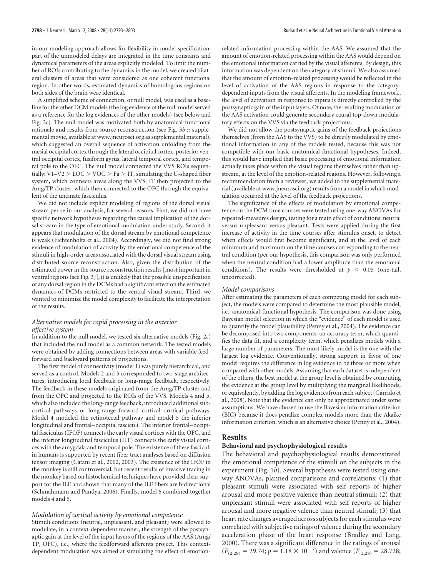in our modeling approach allows for flexibility in model specification: part of the unmodeled delays are integrated in the time constants and dynamical parameters of the areas explicitly modeled. To limit the number of ROIs contributing to the dynamics in the model, we created bilateral clusters of areas that were considered as one coherent functional region. In other words, estimated dynamics of homologous regions on both sides of the brain were identical.

A simplified scheme of connection, or null model, was used as a baseline for the other DCM models (the log evidence of the null model served as a reference for the log evidences of the other models) (see below and Fig. 2*c*). The null model was motivated both by anatomical-functional rationale and results from source reconstruction (see Fig. 3*b*,*c*; supplemental movie, available at www.jneurosci.org as supplemental material), which suggested an overall sequence of activation unfolding from the mesial occipital cortex through the lateral occipital cortex, posterior ventral occipital cortex, fusiform gyrus, lateral temporal cortex, and temporal pole to the OFC. The null model connected the VVS ROIs sequentially:  $V1-V2 > LOC > VOC >$  Fg  $>$  IT, simulating the U-shaped fiber system, which connects areas along the VVS. IT then projected to the Amg/TP cluster, which then connected to the OFC through the equivalent of the uncinate fasciculus.

We did not include explicit modeling of regions of the dorsal visual stream per se in our analysis, for several reasons. First, we did not have specific network hypotheses regarding the causal implication of the dorsal stream in the type of emotional modulation under study. Second, it appears that modulation of the dorsal stream by emotional competence is weak (Fichtenholtz et al., 2004). Accordingly, we did not find strong evidence of modulation of activity by the emotional competence of the stimuli in high-order areas associated with the dorsal visual stream using distributed source reconstruction. Also, given the distribution of the estimated power in the source reconstruction results [most important in ventral regions (see Fig. 3)], it is unlikely that the possible unspecification of any dorsal region in the DCMs had a significant effect on the estimated dynamics of DCMs restricted to the ventral visual stream. Third, we wanted to minimize the model complexity to facilitate the interpretation of the results.

#### *Alternative models for rapid processing in the anterior affective system*

In addition to the null model, we tested six alternative models (Fig. 2*c*) that included the null model as a common network. The tested models were obtained by adding connections between areas with variable feedforward and backward patterns of projections.

The first model of connectivity (model 1) was purely hierarchical, and served as a control. Models 2 and 3 corresponded to two-stage architectures, introducing local feedback or long-range feedback, respectively. The feedback in these models originated from the Amg/TP cluster and from the OFC and projected to the ROIs of the VVS. Models 4 and 5, which also included the long-range feedback, introduced additional subcortical pathways or long-range forward cortical– cortical pathways. Model 4 modeled the retinotectal pathway and model 5 the inferior longitudinal and frontal– occipital fasciculi. The inferior frontal– occipital fasciculus (IFOF) connects the early visual cortices with the OFC, and the inferior longitudinal fasciculus (ILF) connects the early visual cortices with the amygdala and temporal pole. The existence of these fasciculi in humans is supported by recent fiber tract analyses based on diffusion tensor imaging (Catani et al., 2002, 2003). The existence of the IFOF in the monkey is still controversial, but recent results of invasive tracing in the monkey based on histochemical techniques have provided clear support for the ILF and shown that many of the ILF fibers are bidirectional (Schmahmann and Pandya, 2006). Finally, model 6 combined together models 4 and 5.

#### *Modulation of cortical activity by emotional competence*

Stimuli conditions (neutral, unpleasant, and pleasant) were allowed to modulate, in a context-dependent manner, the strength of the postsynaptic gain at the level of the input layers of the regions of the AAS (Amg/ TP, OFC), i.e., where the feedforward afferents project. This contextdependent modulation was aimed at simulating the effect of emotionrelated information processing within the AAS. We assumed that the amount of emotion-related processing within the AAS would depend on the emotional information carried by the visual afferents. By design, this information was dependent on the category of stimuli. We also assumed that the amount of emotion-related processing would be reflected in the level of activation of the AAS regions in response to the categorydependent inputs from the visual afferents. In the modeling framework, the level of activation in response to inputs is directly controlled by the postsynaptic gain of the input layers. Of note, the resulting modulation of the AAS activation could generate secondary causal top-down modulatory effects on the VVS via the feedback projections.

We did not allow the postsynaptic gains of the feedback projections themselves (from the AAS to the VVS) to be directly modulated by emotional information in any of the models tested, because this was not compatible with our basic anatomical-functional hypotheses. Indeed, this would have implied that basic processing of emotional information actually takes place within the visual regions themselves rather than upstream, at the level of the emotion-related regions. However, following a recommendation from a reviewer, we added to the supplemental material (available at www.jneurosci.org) results from a model in which modulation occurred at the level of the feedback projections.

The significance of the effects of modulation by emotional competence on the DCM time courses were tested using one-way ANOVAs for repeated-measures design, testing for a main effect of conditions: neutral versus unpleasant versus pleasant. Tests were applied during the first increase of activity in the time courses after stimulus onset, to detect when effects would first become significant, and at the level of each minimum and maximum on the time courses corresponding to the neutral condition (per our hypothesis, this comparison was only performed when the neutral condition had a lower amplitude than the emotional conditions). The results were thresholded at  $p < 0.05$  (one-tail, uncorrected).

#### *Model comparisons*

After estimating the parameters of each competing model for each subject, the models were compared to determine the most plausible model, i.e., anatomical-functional hypothesis. The comparison was done using Bayesian model selection in which the "evidence" of each model is used to quantify the model plausibility (Penny et al., 2004). The evidence can be decomposed into two components: an accuracy term, which quantifies the data fit, and a complexity term, which penalizes models with a large number of parameters. The most likely model is the one with the largest log evidence. Conventionally, strong support in favor of one model requires the difference in log evidence to be three or more when compared with other models. Assuming that each dataset is independent of the others, the best model at the group level is obtained by computing the evidence at the group level by multiplying the marginal likelihoods, or equivalently, by adding the log evidences from each subject (Garrido et al., 2008). Note that the evidence can only be approximated under some assumptions. We have chosen to use the Bayesian information criterion (BIC) because it does penalize complex models more than the Akaike information criterion, which is an alternative choice (Penny et al., 2004).

#### **Results**

#### **Behavioral and psychophysiological results**

The behavioral and psychophysiological results demonstrated the emotional competence of the stimuli on the subjects in the experiment (Fig. 1*b*). Several hypotheses were tested using oneway ANOVAs, planned comparisons and correlations: (1) that pleasant stimuli were associated with self reports of higher arousal and more positive valence than neutral stimuli; (2) that unpleasant stimuli were associated with self reports of higher arousal and more negative valence than neutral stimuli; (3) that heart rate changes averaged across subjects for each stimulus were correlated with subjective ratings of valence during the secondary acceleration phase of the heart response (Bradley and Lang, 2000). There was a significant difference in the ratings of arousal  $(F_{(2,28)} = 29.74; p = 1.18 \times 10^{-7})$  and valence  $(F_{(2,28)} = 28.728;$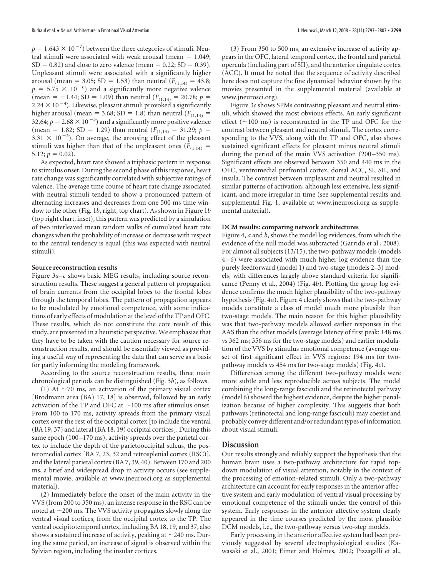$p = 1.643 \times 10^{-7}$ ) between the three categories of stimuli. Neutral stimuli were associated with weak arousal (mean  $= 1.049$ ;  $SD = 0.82$ ) and close to zero valence (mean =  $0.22$ ;  $SD = 0.39$ ). Unpleasant stimuli were associated with a significantly higher arousal (mean =  $3.05$ ; SD = 1.53) than neutral ( $F_{(1,14)} = 43.8$ ;  $p = 5.75 \times 10^{-6}$ ) and a significantly more negative valence (mean =  $-1.44$ ; SD = 1.09) than neutral ( $F_{(1,14)} = 20.78$ ;  $p =$  $2.24 \times 10^{-4}$ ). Likewise, pleasant stimuli provoked a significantly higher arousal (mean = 3.68; SD = 1.8) than neutral ( $F_{(1,14)}$  = 32.64;  $p = 2.68 \times 10^{-5}$ ) and a significantly more positive valence (mean = 1.82; SD = 1.29) than neutral  $(F_{(1,14)} = 31.29; p =$  $3.31 \times 10^{-5}$ ). On average, the arousing effect of the pleasant stimuli was higher than that of the unpleasant ones  $(F_{(1,14)} =$  $5.12; p = 0.02$ ).

As expected, heart rate showed a triphasic pattern in response to stimulus onset. During the second phase of this response, heart rate change was significantly correlated with subjective ratings of valence. The average time course of heart rate change associated with neutral stimuli tended to show a pronounced pattern of alternating increases and decreases from one 500 ms time window to the other (Fig. 1*b*, right, top chart). As shown in Figure 1*b* (top right chart, inset), this pattern was predicted by a simulation of two interleaved mean random walks of cumulated heart rate changes when the probability of increase or decrease with respect to the central tendency is equal (this was expected with neutral stimuli).

#### **Source reconstruction results**

Figure  $3a-c$  shows basic MEG results, including source reconstruction results. These suggest a general pattern of propagation of brain currents from the occipital lobes to the frontal lobes through the temporal lobes. The pattern of propagation appears to be modulated by emotional competence, with some indications of early effects of modulation at the level of the TP and OFC. These results, which do not constitute the core result of this study, are presented in a heuristic perspective. We emphasize that they have to be taken with the caution necessary for source reconstruction results, and should be essentially viewed as providing a useful way of representing the data that can serve as a basis for partly informing the modeling framework.

According to the source reconstruction results, three main chronological periods can be distinguished (Fig. 3*b*), as follows.

(1) At  $\sim$  70 ms, an activation of the primary visual cortex [Brodmann area (BA) 17, 18] is observed, followed by an early activation of the TP and OFC at  $\sim$ 100 ms after stimulus onset. From 100 to 170 ms, activity spreads from the primary visual cortex over the rest of the occipital cortex [to include the ventral (BA 19, 37) and lateral (BA 18, 19) occipital cortices]. During this same epoch (100-170 ms), activity spreads over the parietal cortex to include the depth of the parietooccipital sulcus, the posteromedial cortex [BA 7, 23, 32 and retrosplenial cortex (RSC)], and the lateral parietal cortex (BA 7, 39, 40). Between 170 and 200 ms, a brief and widespread drop in activity occurs (see supplemental movie, available at www.jneurosci.org as supplemental material).

(2) Immediately before the onset of the main activity in the VVS (from 200 to 350 ms), an intense response in the RSC can be noted at  $\sim$  200 ms. The VVS activity propagates slowly along the ventral visual cortices, from the occipital cortex to the TP. The ventral occipitotemporal cortex, including BA 18, 19, and 37, also shows a sustained increase of activity, peaking at  $\sim$  240 ms. During the same period, an increase of signal is observed within the Sylvian region, including the insular cortices.

(3) From 350 to 500 ms, an extensive increase of activity appears in the OFC, lateral temporal cortex, the frontal and parietal opercula (including part of SII), and the anterior cingulate cortex (ACC). It must be noted that the sequence of activity described here does not capture the fine dynamical behavior shown by the movies presented in the supplemental material (available at www.jneurosci.org).

Figure 3*c* shows SPMs contrasting pleasant and neutral stimuli, which showed the most obvious effects. An early significant effect  $(\sim 100 \text{ ms})$  is reconstructed in the TP and OFC for the contrast between pleasant and neutral stimuli. The cortex corresponding to the VVS, along with the TP and OFC, also shows sustained significant effects for pleasant minus neutral stimuli during the period of the main VVS activation (200 –350 ms). Significant effects are observed between 350 and 440 ms in the OFC, ventromedial prefrontal cortex, dorsal ACC, SI, SII, and insula. The contrast between unpleasant and neutral resulted in similar patterns of activation, although less extensive, less significant, and more irregular in time (see supplemental results and supplemental Fig. 1, available at www.jneurosci.org as supplemental material).

#### **DCM results: comparing network architectures**

Figure 4, *a* and *b*, shows the model log evidences, from which the evidence of the null model was subtracted (Garrido et al., 2008). For almost all subjects (13/15), the two-pathway models (models 4 –6) were associated with much higher log evidence than the purely feedforward (model 1) and two-stage (models 2–3) models, with differences largely above standard criteria for significance (Penny et al., 2004) (Fig. 4*b*). Plotting the group log evidence confirms the much higher plausibility of the two-pathway hypothesis (Fig. 4*a*). Figure 4 clearly shows that the two-pathway models constitute a class of model much more plausible than two-stage models. The main reason for this higher plausibility was that two-pathway models allowed earlier responses in the AAS than the other models (average latency of first peak: 148 ms vs 362 ms; 356 ms for the two-stage models) and earlier modulation of the VVS by stimulus emotional competence (average onset of first significant effect in VVS regions: 194 ms for twopathway models vs 454 ms for two-stage models) (Fig. 4*c*).

Differences among the different two-pathway models were more subtle and less reproducible across subjects. The model combining the long-range fasciculi and the retinotectal pathway (model 6) showed the highest evidence, despite the higher penalization because of higher complexity. This suggests that both pathways (retinotectal and long-range fasciculi) may coexist and probably convey different and/or redundant types of information about visual stimuli.

#### **Discussion**

Our results strongly and reliably support the hypothesis that the human brain uses a two-pathway architecture for rapid topdown modulation of visual attention, notably in the context of the processing of emotion-related stimuli. Only a two-pathway architecture can account for early responses in the anterior affective system and early modulation of ventral visual processing by emotional competence of the stimuli under the control of this system. Early responses in the anterior affective system clearly appeared in the time courses predicted by the most plausible DCM models, i.e., the two-pathway versus two-step models.

Early processing in the anterior affective system had been previously suggested by several electrophysiological studies (Kawasaki et al., 2001; Eimer and Holmes, 2002; Pizzagalli et al.,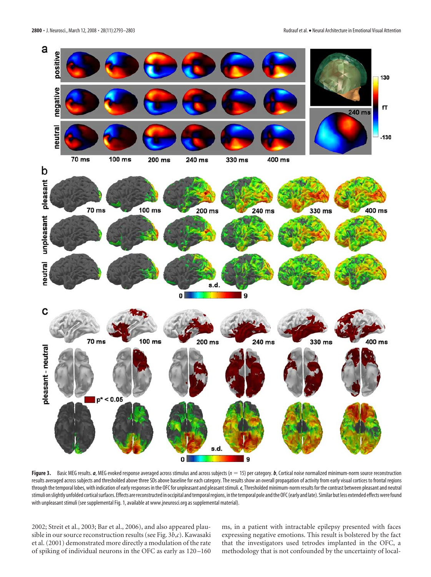

Figure 3. Basic MEG results. *a*, MEG evoked response averaged across stimulus and across subjects (*n* = 15) per category. *b*, Cortical noise normalized minimum-norm source reconstruction results averaged across subjects and thresholded above three SDs above baseline for each category. The results show an overall propagation of activity from early visual cortices to frontal regions through the temporal lobes, with indication of early responses in the OFC for unpleasant and pleasant stimuli. c, Thresholded minimum-norm results for the contrast between pleasant and neutral stimuli on slightly unfolded cortical surfaces. Effects are reconstructed in occipital and temporal regions, in the temporal pole and the OFC (early and late). Similar but less extended effects were found with unpleasant stimuli (see supplemental Fig. 1, available at www.jneurosci.org as supplemental material).

2002; Streit et al., 2003; Bar et al., 2006), and also appeared plausible in our source reconstruction results (see Fig. 3*b*,*c*). Kawasaki et al. (2001) demonstrated more directly a modulation of the rate of spiking of individual neurons in the OFC as early as 120 –160

ms, in a patient with intractable epilepsy presented with faces expressing negative emotions. This result is bolstered by the fact that the investigators used tetrodes implanted in the OFC, a methodology that is not confounded by the uncertainty of local-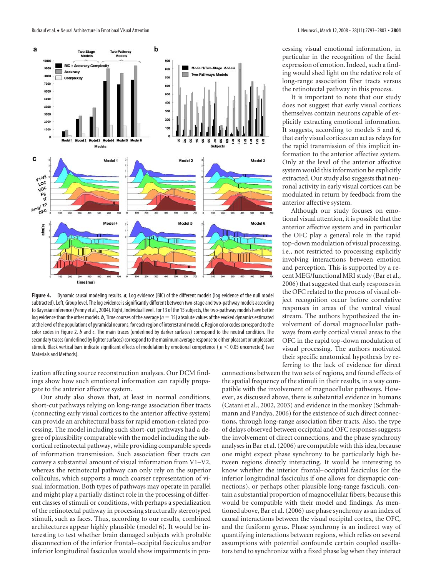

**Figure 4.** Dynamic causal modeling results. *a*, Log evidence (BIC) of the different models (log evidence of the null model subtracted). Left, Group level. The log evidence is significantly different between two-stage and two-pathway models according to Bayesian inference (Penny et al., 2004). Right, Individual level. For 13 of the 15subjects, the two-pathway models have better log evidence than the other models.  $\bm{b}$ , Time courses of the average ( $n=15$ ) absolute values of the evoked dynamics estimated at the level of the populations of pyramidal neurons, for each region of interest and model. c, Region color codes correspond to the color codes in Figure 2, *b* and *c*. The main traces (underlined by darker surfaces) correspond to the neutral condition. The secondary traces (underlined by lightersurfaces) correspond to the maximum average response to either pleasant or unpleasant stimuli. Black vertical bars indicate significant effects of modulation by emotional competence ( $p < 0.05$  uncorrected) (see Materials and Methods).

ization affecting source reconstruction analyses. Our DCM findings show how such emotional information can rapidly propagate to the anterior affective system.

Our study also shows that, at least in normal conditions, short-cut pathways relying on long-range association fiber tracts (connecting early visual cortices to the anterior affective system) can provide an architectural basis for rapid emotion-related processing. The model including such short-cut pathways had a degree of plausibility comparable with the model including the subcortical retinotectal pathway, while providing comparable speeds of information transmission. Such association fiber tracts can convey a substantial amount of visual information from V1–V2, whereas the retinotectal pathway can only rely on the superior colliculus, which supports a much coarser representation of visual information. Both types of pathways may operate in parallel and might play a partially distinct role in the processing of different classes of stimuli or conditions, with perhaps a specialization of the retinotectal pathway in processing structurally stereotyped stimuli, such as faces. Thus, according to our results, combined architectures appear highly plausible (model 6). It would be interesting to test whether brain damaged subjects with probable disconnection of the inferior frontal– occipital fasciculus and/or inferior longitudinal fasciculus would show impairments in processing visual emotional information, in particular in the recognition of the facial expression of emotion. Indeed, such a finding would shed light on the relative role of long-range association fiber tracts versus the retinotectal pathway in this process.

It is important to note that our study does not suggest that early visual cortices themselves contain neurons capable of explicitly extracting emotional information. It suggests, according to models 5 and 6, that early visual cortices can act as relays for the rapid transmission of this implicit information to the anterior affective system. Only at the level of the anterior affective system would this information be explicitly extracted. Our study also suggests that neuronal activity in early visual cortices can be modulated in return by feedback from the anterior affective system.

Although our study focuses on emotional visual attention, it is possible that the anterior affective system and in particular the OFC play a general role in the rapid top-down modulation of visual processing, i.e., not restricted to processing explicitly involving interactions between emotion and perception. This is supported by a recent MEG/functional MRI study (Bar et al., 2006) that suggested that early responses in the OFC related to the process of visual object recognition occur before correlative responses in areas of the ventral visual stream. The authors hypothesized the involvement of dorsal magnocellular pathways from early cortical visual areas to the OFC in the rapid top-down modulation of visual processing. The authors motivated their specific anatomical hypothesis by referring to the lack of evidence for direct

connections between the two sets of regions, and found effects of the spatial frequency of the stimuli in their results, in a way compatible with the involvement of magnocellular pathways. However, as discussed above, there is substantial evidence in humans (Catani et al., 2002, 2003) and evidence in the monkey (Schmahmann and Pandya, 2006) for the existence of such direct connections, through long-range association fiber tracts. Also, the type of delays observed between occipital and OFC responses suggests the involvement of direct connections, and the phase synchrony analyses in Bar et al. (2006) are compatible with this idea, because one might expect phase synchrony to be particularly high between regions directly interacting. It would be interesting to know whether the interior frontal– occipital fasciculus (or the inferior longitudinal fasciculus if one allows for disynaptic connections), or perhaps other plausible long-range fasciculi, contain a substantial proportion of magnocellular fibers, because this would be compatible with their model and findings. As mentioned above, Bar et al. (2006) use phase synchrony as an index of causal interactions between the visual occipital cortex, the OFC, and the fusiform gyrus. Phase synchrony is an indirect way of quantifying interactions between regions, which relies on several assumptions with potential confounds: certain coupled oscillators tend to synchronize with a fixed phase lag when they interact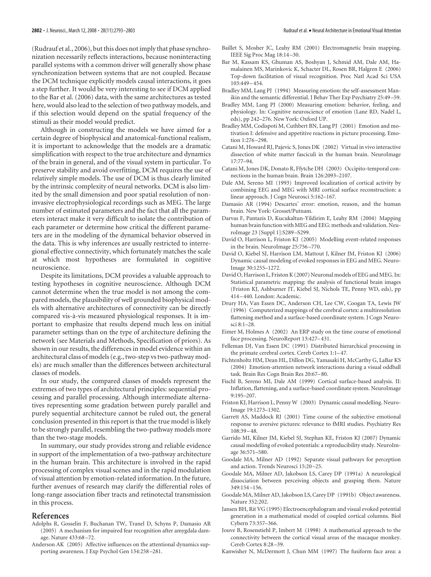(Rudrauf et al., 2006), but this does not imply that phase synchronization necessarily reflects interactions, because noninteracting parallel systems with a common driver will generally show phase synchronization between systems that are not coupled. Because the DCM technique explicitly models causal interactions, it goes a step further. It would be very interesting to see if DCM applied to the Bar et al. (2006) data, with the same architectures as tested here, would also lead to the selection of two pathway models, and if this selection would depend on the spatial frequency of the stimuli as their model would predict.

Although in constructing the models we have aimed for a certain degree of biophysical and anatomical-functional realism, it is important to acknowledge that the models are a dramatic simplification with respect to the true architecture and dynamics of the brain in general, and of the visual system in particular. To preserve stability and avoid overfitting, DCM requires the use of relatively simple models. The use of DCM is thus clearly limited by the intrinsic complexity of neural networks. DCM is also limited by the small dimension and poor spatial resolution of noninvasive electrophysiological recordings such as MEG. The large number of estimated parameters and the fact that all the parameters interact make it very difficult to isolate the contribution of each parameter or determine how critical the different parameters are in the modeling of the dynamical behavior observed in the data. This is why inferences are usually restricted to interregional effective connectivity, which fortunately matches the scale at which most hypotheses are formulated in cognitive neuroscience.

Despite its limitations, DCM provides a valuable approach to testing hypotheses in cognitive neuroscience. Although DCM cannot determine when the true model is not among the compared models, the plausibility of well grounded biophysical models with alternative architectures of connectivity can be directly compared vis-a`-vis measured physiological responses. It is important to emphasize that results depend much less on initial parameter settings than on the type of architecture defining the network (see Materials and Methods, Specification of priors). As shown in our results, the differences in model evidence within an architectural class of models (e.g., two-step vs two-pathway models) are much smaller than the differences between architectural classes of models.

In our study, the compared classes of models represent the extremes of two types of architectural principles: sequential processing and parallel processing. Although intermediate alternatives representing some gradation between purely parallel and purely sequential architecture cannot be ruled out, the general conclusion presented in this report is that the true model is likely to be strongly parallel, resembling the two-pathway models more than the two-stage models.

In summary, our study provides strong and reliable evidence in support of the implementation of a two-pathway architecture in the human brain. This architecture is involved in the rapid processing of complex visual scenes and in the rapid modulation of visual attention by emotion-related information. In the future, further avenues of research may clarify the differential roles of long-range association fiber tracts and retinotectal transmission in this process.

#### **References**

- Adolphs R, Gosselin F, Buchanan TW, Tranel D, Schyns P, Damasio AR (2005) A mechanism for impaired fear recognition after amygdala damage. Nature 433:68 –72.
- Anderson AK (2005) Affective influences on the attentional dynamics supporting awareness. J Exp Psychol Gen 134:258 –281.
- Baillet S, Mosher JC, Leahy RM (2001) Electromagnetic brain mapping. IEEE Sig Proc Mag 18:14 –30.
- Bar M, Kassam KS, Ghuman AS, Boshyan J, Schmid AM, Dale AM, Hamalainen MS, Marinkovic K, Schacter DL, Rosen BR, Halgren E (2006) Top-down facilitation of visual recognition. Proc Natl Acad Sci USA  $103.449 - 454$
- Bradley MM, Lang PJ (1994) Measuring emotion: the self-assessment Manikin and the semantic differential. J Behav Ther Exp Psychiatry 25:49 –59.
- Bradley MM, Lang PJ (2000) Measuring emotion: behavior, feeling, and physiology. In: Cognitive neuroscience of emotion (Lane RD, Nadel L, eds), pp 242–276. New York: Oxford UP.
- Bradley MM, Codispoti M, Cuthbert BN, Lang PJ (2001) Emotion and motivation I: defensive and appetitive reactions in picture processing. Emotion 1:276 –298.
- Catani M, Howard RJ, Pajevic S, Jones DK (2002) Virtual in vivo interactive dissection of white matter fasciculi in the human brain. NeuroImage 17:77–94.
- Catani M, Jones DK, Donato R, Ffytche DH (2003) Occipito-temporal connections in the human brain. Brain 126:2093–2107.
- Dale AM, Sereno MI (1993) Improved localization of cortical activity by combining EEG and MEG with MRI cortical surface reconstruction: a linear approach. J Cogn Neurosci 5:162–167.
- Damasio AR (1994) Descartes' error: emotion, reason, and the human brain. New York: Grosset/Putnam.
- Darvas F, Pantazis D, Kucukaltun-Yildirim E, Leahy RM (2004) Mapping human brain function with MEG and EEG: methods and validation. NeuroImage 23 [Suppl 1]:S289 –S299.
- David O, Harrison L, Friston KJ (2005) Modelling event-related responses in the brain. NeuroImage 25:756 –770.
- David O, Kiebel SJ, Harrison LM, Mattout J, Kilner JM, Friston KJ (2006) Dynamic causal modeling of evoked responses in EEG and MEG. Neuro-Image 30:1255–1272.
- David O, Harrison L, Friston K (2007) Neuronal models of EEG and MEG. In: Statistical parametric mapping: the analysis of functional brain images (Friston KJ, Ashburner JT, Kiebel SJ, Nichols TE, Penny WD, eds), pp 414 –440. London: Academic.
- Drury HA, Van Essen DC, Anderson CH, Lee CW, Coogan TA, Lewis JW (1996) Computerized mappings of the cerebral cortex: a multiresolution flattening method and a surface-based coordinate system. J Cogn Neurosci 8:1–28.
- Eimer M, Holmes A (2002) An ERP study on the time course of emotional face processing. NeuroReport 13:427–431.
- Felleman DJ, Van Essen DC (1991) Distributed hierarchical processing in the primate cerebral cortex. Cereb Cortex 1:1–47.
- Fichtenholtz HM, Dean HL, Dillon DG, Yamasaki H, McCarthy G, LaBar KS (2004) Emotion-attention network interactions during a visual oddball task. Brain Res Cogn Brain Res 20:67–80.
- Fischl B, Sereno MI, Dale AM (1999) Cortical surface-based analysis. II: Inflation, flattening, and a surface-based coordinate system. NeuroImage 9:195–207.
- Friston KJ, Harrison L, Penny W (2003) Dynamic causal modelling. Neuro-Image 19:1273–1302.
- Garrett AS, Maddock RJ (2001) Time course of the subjective emotional response to aversive pictures: relevance to fMRI studies. Psychiatry Res 108:39 –48.
- Garrido MI, Kilner JM, Kiebel SJ, Stephan KE, Friston KJ (2007) Dynamic causal modelling of evoked potentials: a reproducibility study. NeuroImage 36:571–580.
- Goodale MA, Milner AD (1992) Separate visual pathways for perception and action. Trends Neurosci 15:20 –25.
- Goodale MA, Milner AD, Jakobson LS, Carey DP (1991a) A neurological dissociation between perceiving objects and grasping them. Nature 349:154 –156.
- Goodale MA, Milner AD, Jakobson LS, Carey DP (1991b) Object awareness. Nature 352:202.
- Jansen BH, Rit VG (1995) Electroencephalogram and visual evoked potential generation in a mathematical model of coupled cortical columns. Biol Cybern 73:357–366.
- Jouve B, Rosenstiehl P, Imbert M (1998) A mathematical approach to the connectivity between the cortical visual areas of the macaque monkey. Cereb Cortex 8:28 –39.
- Kanwisher N, McDermott J, Chun MM (1997) The fusiform face area: a